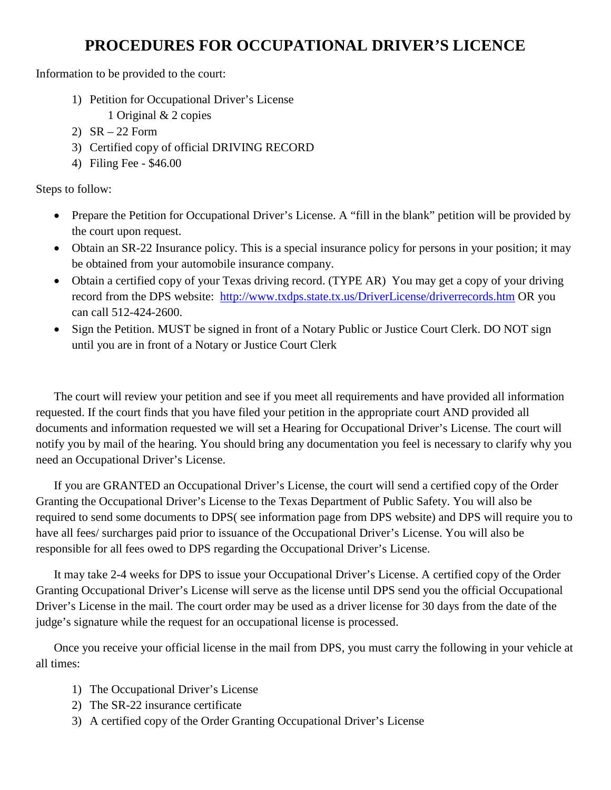## **PROCEDURES FOR OCCUPATIONAL DRIVER'S LICENCE**

Information to be provided to the court:

- 1) Petition for Occupational Driver's License
	- 1 Original & 2 copies
- 2) SR 22 Form
- 3) Certified copy of official DRIVING RECORD
- 4) Filing Fee \$46.00

Steps to follow:

- Prepare the Petition for Occupational Driver's License. A "fill in the blank" petition will be provided by the court upon request.
- Obtain an SR-22 Insurance policy. This is a special insurance policy for persons in your position; it may be obtained from your automobile insurance company.
- Obtain a certified copy of your Texas driving record. (TYPE AR) You may get a copy of your driving record from the DPS website: <http://www.txdps.state.tx.us/DriverLicense/driverrecords.htm> OR you can call 512-424-2600.
- Sign the Petition. MUST be signed in front of a Notary Public or Justice Court Clerk. DO NOT sign until you are in front of a Notary or Justice Court Clerk

The court will review your petition and see if you meet all requirements and have provided all information requested. If the court finds that you have filed your petition in the appropriate court AND provided all documents and information requested we will set a Hearing for Occupational Driver's License. The court will notify you by mail of the hearing. You should bring any documentation you feel is necessary to clarify why you need an Occupational Driver's License.

If you are GRANTED an Occupational Driver's License, the court will send a certified copy of the Order Granting the Occupational Driver's License to the Texas Department of Public Safety. You will also be required to send some documents to DPS( see information page from DPS website) and DPS will require you to have all fees/ surcharges paid prior to issuance of the Occupational Driver's License. You will also be responsible for all fees owed to DPS regarding the Occupational Driver's License.

It may take 2-4 weeks for DPS to issue your Occupational Driver's License. A certified copy of the Order Granting Occupational Driver's License will serve as the license until DPS send you the official Occupational Driver's License in the mail. The court order may be used as a driver license for 30 days from the date of the judge's signature while the request for an occupational license is processed.

Once you receive your official license in the mail from DPS, you must carry the following in your vehicle at all times:

- 1) The Occupational Driver's License
- 2) The SR-22 insurance certificate
- 3) A certified copy of the Order Granting Occupational Driver's License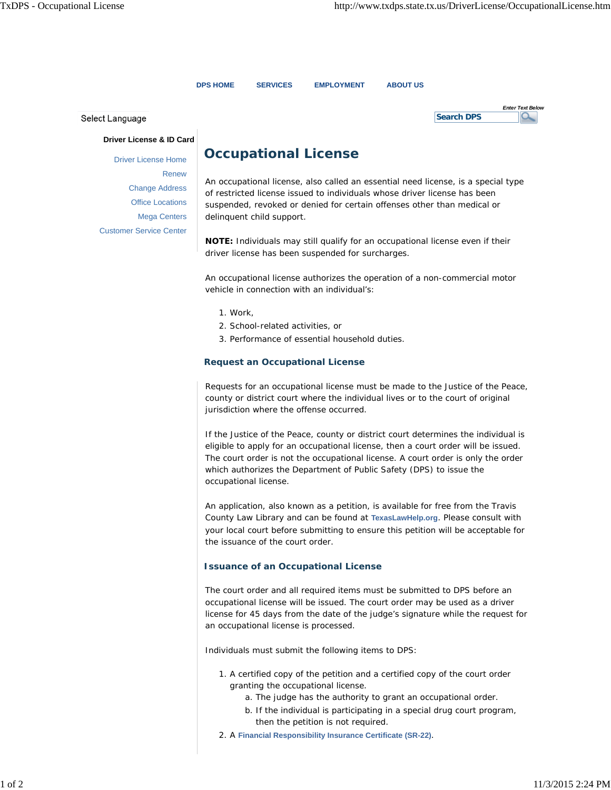**Search DPS**

*Enter Text Below*

 $\alpha$ 

**DPS HOME SERVICES EMPLOYMENT ABOUT US**

Select Language

**Driver License & ID Card**

Driver License Home Renew Change Address Office Locations Mega Centers Customer Service Center

### **Occupational License**

An occupational license, also called an essential need license, is a special type of restricted license issued to individuals whose driver license has been suspended, revoked or denied for certain offenses other than medical or delinquent child support.

**NOTE:** Individuals may still qualify for an occupational license even if their driver license has been suspended for surcharges.

An occupational license authorizes the operation of a non-commercial motor vehicle in connection with an individual's:

- 1. Work,
- 2. School-related activities, or
- 3. Performance of essential household duties.

#### **Request an Occupational License**

Requests for an occupational license must be made to the Justice of the Peace, county or district court where the individual lives or to the court of original jurisdiction where the offense occurred.

If the Justice of the Peace, county or district court determines the individual is eligible to apply for an occupational license, then a court order will be issued. The court order is not the occupational license. A court order is only the order which authorizes the Department of Public Safety (DPS) to issue the occupational license.

An application, also known as a petition, is available for free from the Travis County Law Library and can be found at **TexasLawHelp.org**. Please consult with your local court before submitting to ensure this petition will be acceptable for the issuance of the court order.

#### **Issuance of an Occupational License**

The court order and all required items must be submitted to DPS before an occupational license will be issued. The court order may be used as a driver license for 45 days from the date of the judge's signature while the request for an occupational license is processed.

Individuals must submit the following items to DPS:

- 1. A certified copy of the petition and a certified copy of the court order granting the occupational license.
	- a. The judge has the authority to grant an occupational order.
	- b. If the individual is participating in a special drug court program, then the petition is not required.
- 2. A **Financial Responsibility Insurance Certificate (SR-22)**.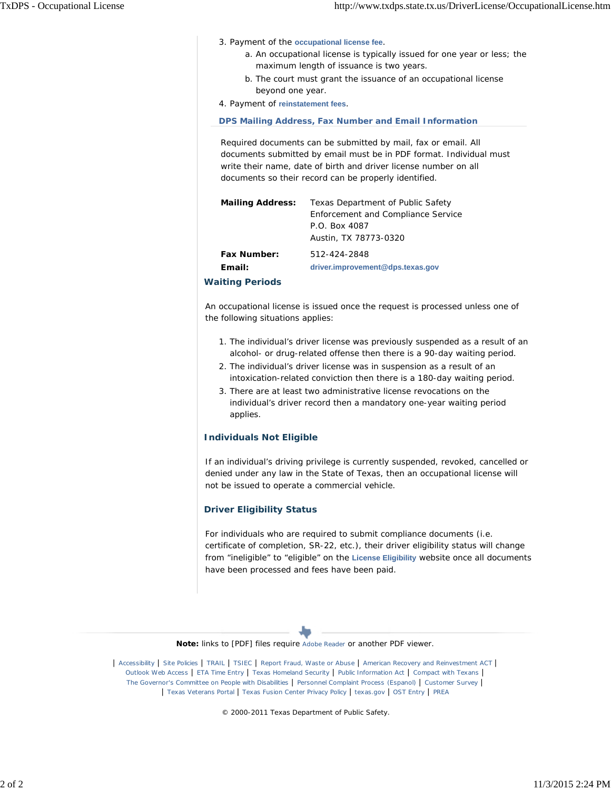- 3. Payment of the occupational license fee.
	- a. An occupational license is typically issued for one year or less; the maximum length of issuance is two years.
	- b. The court must grant the issuance of an occupational license beyond one year.
- 4. Payment of **reinstatement fees**.

 **DPS Mailing Address, Fax Number and Email Information**

Required documents can be submitted by mail, fax or email. All documents submitted by email must be in PDF format. Individual must write their name, date of birth and driver license number on all documents so their record can be properly identified.

| <b>Mailing Address:</b> | Texas Department of Public Safety  |
|-------------------------|------------------------------------|
|                         | Enforcement and Compliance Service |
|                         | P.O. Box 4087                      |
|                         | Austin, TX 78773-0320              |
| <b>Fax Number:</b>      | 512-424-2848                       |
| Email:                  | driver.improvement@dps.texas.gov   |
|                         |                                    |

#### **Waiting Periods**

An occupational license is issued once the request is processed unless one of the following situations applies:

- 1. The individual's driver license was previously suspended as a result of an alcohol- or drug-related offense then there is a 90-day waiting period.
- 2. The individual's driver license was in suspension as a result of an intoxication-related conviction then there is a 180-day waiting period.
- 3. There are at least two administrative license revocations on the individual's driver record then a mandatory one-year waiting period applies.

#### **Individuals Not Eligible**

If an individual's driving privilege is currently suspended, revoked, cancelled or denied under any law in the State of Texas, then an occupational license will not be issued to operate a commercial vehicle.

#### **Driver Eligibility Status**

For individuals who are required to submit compliance documents (i.e. certificate of completion, SR-22, etc.), their driver eligibility status will change from "ineligible" to "eligible" on the **License Eligibility** website once all documents have been processed and fees have been paid.



| Texas Veterans Portal | Texas Fusion Center Privacy Policy | texas.gov | OST Entry | PREA

© 2000-2011 Texas Department of Public Safety.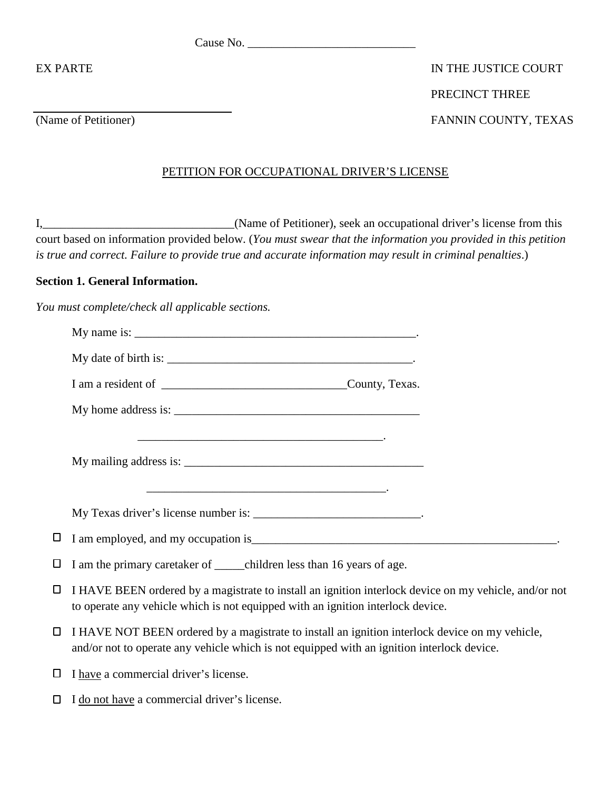Cause No. \_\_\_\_\_\_\_\_\_\_\_\_\_\_\_\_\_\_\_\_\_\_\_\_\_\_\_\_

# EX PARTE IN THE JUSTICE COURT PRECINCT THREE (Name of Petitioner) FANNIN COUNTY, TEXAS

### PETITION FOR OCCUPATIONAL DRIVER'S LICENSE

I,\_\_\_\_\_\_\_\_\_\_\_\_\_\_\_\_\_\_\_\_\_\_\_\_\_\_\_\_\_\_\_\_(Name of Petitioner), seek an occupational driver's license from this court based on information provided below. (*You must swear that the information you provided in this petition is true and correct. Failure to provide true and accurate information may result in criminal penalties*.)

### **Section 1. General Information.**

*You must complete/check all applicable sections.*

|        | <u>and the contract of the contract of the contract of the contract of the contract of the contract of the contract of the contract of the contract of the contract of the contract of the contract of the contract of the contr</u> |
|--------|--------------------------------------------------------------------------------------------------------------------------------------------------------------------------------------------------------------------------------------|
|        |                                                                                                                                                                                                                                      |
| $\Box$ |                                                                                                                                                                                                                                      |
| □      | I am the primary caretaker of _______ children less than 16 years of age.                                                                                                                                                            |
| □      | I HAVE BEEN ordered by a magistrate to install an ignition interlock device on my vehicle, and/or not<br>to operate any vehicle which is not equipped with an ignition interlock device.                                             |
| $\Box$ | I HAVE NOT BEEN ordered by a magistrate to install an ignition interlock device on my vehicle,<br>and/or not to operate any vehicle which is not equipped with an ignition interlock device.                                         |

- $\Box$  I have a commercial driver's license.
- $\Box$  I do not have a commercial driver's license.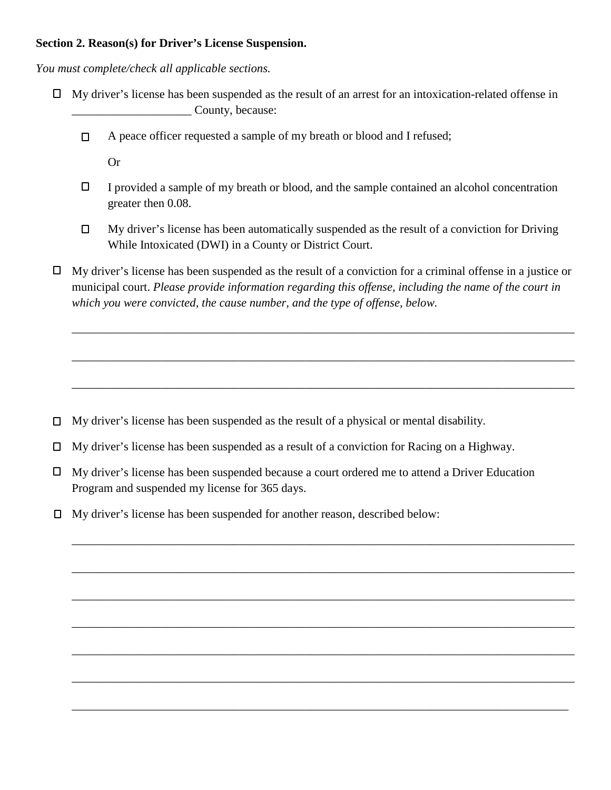#### **Section 2. Reason(s) for Driver's License Suspension.**

*You must complete/check all applicable sections.*

- $\Box$  My driver's license has been suspended as the result of an arrest for an intoxication-related offense in \_\_\_\_\_\_\_\_\_\_\_\_\_\_\_\_\_\_\_\_ County, because:
	- A peace officer requested a sample of my breath or blood and I refused;  $\Box$

Or

- $\Box$ I provided a sample of my breath or blood, and the sample contained an alcohol concentration greater then 0.08.
- $\Box$ My driver's license has been automatically suspended as the result of a conviction for Driving While Intoxicated (DWI) in a County or District Court.
- $\Box$  My driver's license has been suspended as the result of a conviction for a criminal offense in a justice or municipal court. *Please provide information regarding this offense, including the name of the court in which you were convicted, the cause number, and the type of offense, below.*

\_\_\_\_\_\_\_\_\_\_\_\_\_\_\_\_\_\_\_\_\_\_\_\_\_\_\_\_\_\_\_\_\_\_\_\_\_\_\_\_\_\_\_\_\_\_\_\_\_\_\_\_\_\_\_\_\_\_\_\_\_\_\_\_\_\_\_\_\_\_\_\_\_\_\_\_\_\_\_\_\_\_\_\_

\_\_\_\_\_\_\_\_\_\_\_\_\_\_\_\_\_\_\_\_\_\_\_\_\_\_\_\_\_\_\_\_\_\_\_\_\_\_\_\_\_\_\_\_\_\_\_\_\_\_\_\_\_\_\_\_\_\_\_\_\_\_\_\_\_\_\_\_\_\_\_\_\_\_\_\_\_\_\_\_\_\_\_\_

\_\_\_\_\_\_\_\_\_\_\_\_\_\_\_\_\_\_\_\_\_\_\_\_\_\_\_\_\_\_\_\_\_\_\_\_\_\_\_\_\_\_\_\_\_\_\_\_\_\_\_\_\_\_\_\_\_\_\_\_\_\_\_\_\_\_\_\_\_\_\_\_\_\_\_\_\_\_\_\_\_\_\_\_

\_\_\_\_\_\_\_\_\_\_\_\_\_\_\_\_\_\_\_\_\_\_\_\_\_\_\_\_\_\_\_\_\_\_\_\_\_\_\_\_\_\_\_\_\_\_\_\_\_\_\_\_\_\_\_\_\_\_\_\_\_\_\_\_\_\_\_\_\_\_\_\_\_\_\_\_\_\_\_\_\_\_\_\_

\_\_\_\_\_\_\_\_\_\_\_\_\_\_\_\_\_\_\_\_\_\_\_\_\_\_\_\_\_\_\_\_\_\_\_\_\_\_\_\_\_\_\_\_\_\_\_\_\_\_\_\_\_\_\_\_\_\_\_\_\_\_\_\_\_\_\_\_\_\_\_\_\_\_\_\_\_\_\_\_\_\_\_\_

\_\_\_\_\_\_\_\_\_\_\_\_\_\_\_\_\_\_\_\_\_\_\_\_\_\_\_\_\_\_\_\_\_\_\_\_\_\_\_\_\_\_\_\_\_\_\_\_\_\_\_\_\_\_\_\_\_\_\_\_\_\_\_\_\_\_\_\_\_\_\_\_\_\_\_\_\_\_\_\_\_\_\_\_

\_\_\_\_\_\_\_\_\_\_\_\_\_\_\_\_\_\_\_\_\_\_\_\_\_\_\_\_\_\_\_\_\_\_\_\_\_\_\_\_\_\_\_\_\_\_\_\_\_\_\_\_\_\_\_\_\_\_\_\_\_\_\_\_\_\_\_\_\_\_\_\_\_\_\_\_\_\_\_\_\_\_\_\_

\_\_\_\_\_\_\_\_\_\_\_\_\_\_\_\_\_\_\_\_\_\_\_\_\_\_\_\_\_\_\_\_\_\_\_\_\_\_\_\_\_\_\_\_\_\_\_\_\_\_\_\_\_\_\_\_\_\_\_\_\_\_\_\_\_\_\_\_\_\_\_\_\_\_\_\_\_\_\_\_\_\_\_\_

\_\_\_\_\_\_\_\_\_\_\_\_\_\_\_\_\_\_\_\_\_\_\_\_\_\_\_\_\_\_\_\_\_\_\_\_\_\_\_\_\_\_\_\_\_\_\_\_\_\_\_\_\_\_\_\_\_\_\_\_\_\_\_\_\_\_\_\_\_\_\_\_\_\_\_\_\_\_\_\_\_\_\_\_

\_\_\_\_\_\_\_\_\_\_\_\_\_\_\_\_\_\_\_\_\_\_\_\_\_\_\_\_\_\_\_\_\_\_\_\_\_\_\_\_\_\_\_\_\_\_\_\_\_\_\_\_\_\_\_\_\_\_\_\_\_\_\_\_\_\_\_\_\_\_\_\_\_\_\_\_\_\_\_\_\_\_\_

- $\Box$  My driver's license has been suspended as the result of a physical or mental disability.
- My driver's license has been suspended as a result of a conviction for Racing on a Highway.
- $\Box$  My driver's license has been suspended because a court ordered me to attend a Driver Education Program and suspended my license for 365 days.
- My driver's license has been suspended for another reason, described below: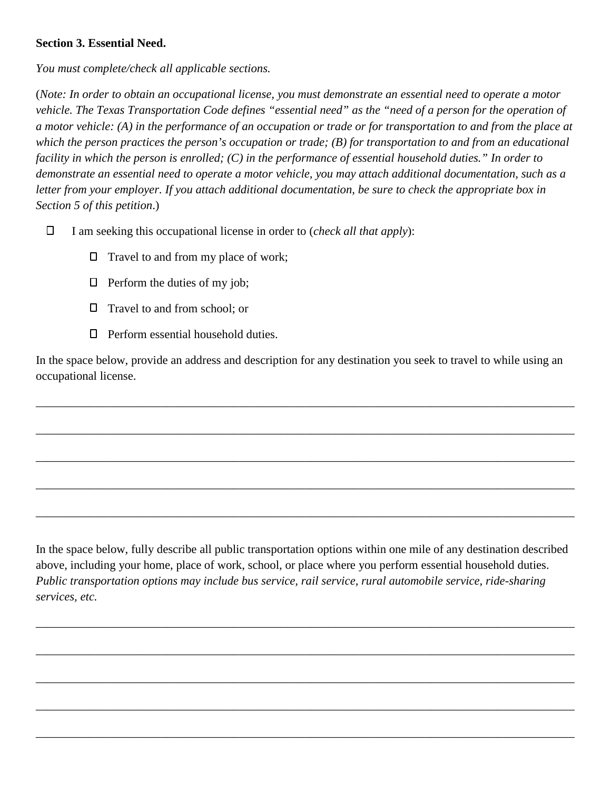### **Section 3. Essential Need.**

*You must complete/check all applicable sections.*

(*Note: In order to obtain an occupational license, you must demonstrate an essential need to operate a motor vehicle. The Texas Transportation Code defines "essential need" as the "need of a person for the operation of a motor vehicle: (A) in the performance of an occupation or trade or for transportation to and from the place at which the person practices the person's occupation or trade; (B) for transportation to and from an educational facility in which the person is enrolled; (C) in the performance of essential household duties." In order to demonstrate an essential need to operate a motor vehicle, you may attach additional documentation, such as a letter from your employer. If you attach additional documentation, be sure to check the appropriate box in Section 5 of this petition*.)

- $\Box$ I am seeking this occupational license in order to (*check all that apply*):
	- $\Box$  Travel to and from my place of work;
	- $\Box$  Perform the duties of my job;
	- □ Travel to and from school; or
	- $\Box$  Perform essential household duties.

In the space below, provide an address and description for any destination you seek to travel to while using an occupational license.

\_\_\_\_\_\_\_\_\_\_\_\_\_\_\_\_\_\_\_\_\_\_\_\_\_\_\_\_\_\_\_\_\_\_\_\_\_\_\_\_\_\_\_\_\_\_\_\_\_\_\_\_\_\_\_\_\_\_\_\_\_\_\_\_\_\_\_\_\_\_\_\_\_\_\_\_\_\_\_\_\_\_\_\_\_\_\_\_\_\_

\_\_\_\_\_\_\_\_\_\_\_\_\_\_\_\_\_\_\_\_\_\_\_\_\_\_\_\_\_\_\_\_\_\_\_\_\_\_\_\_\_\_\_\_\_\_\_\_\_\_\_\_\_\_\_\_\_\_\_\_\_\_\_\_\_\_\_\_\_\_\_\_\_\_\_\_\_\_\_\_\_\_\_\_\_\_\_\_\_\_

\_\_\_\_\_\_\_\_\_\_\_\_\_\_\_\_\_\_\_\_\_\_\_\_\_\_\_\_\_\_\_\_\_\_\_\_\_\_\_\_\_\_\_\_\_\_\_\_\_\_\_\_\_\_\_\_\_\_\_\_\_\_\_\_\_\_\_\_\_\_\_\_\_\_\_\_\_\_\_\_\_\_\_\_\_\_\_\_\_\_

\_\_\_\_\_\_\_\_\_\_\_\_\_\_\_\_\_\_\_\_\_\_\_\_\_\_\_\_\_\_\_\_\_\_\_\_\_\_\_\_\_\_\_\_\_\_\_\_\_\_\_\_\_\_\_\_\_\_\_\_\_\_\_\_\_\_\_\_\_\_\_\_\_\_\_\_\_\_\_\_\_\_\_\_\_\_\_\_\_\_

\_\_\_\_\_\_\_\_\_\_\_\_\_\_\_\_\_\_\_\_\_\_\_\_\_\_\_\_\_\_\_\_\_\_\_\_\_\_\_\_\_\_\_\_\_\_\_\_\_\_\_\_\_\_\_\_\_\_\_\_\_\_\_\_\_\_\_\_\_\_\_\_\_\_\_\_\_\_\_\_\_\_\_\_\_\_\_\_\_\_

In the space below, fully describe all public transportation options within one mile of any destination described above, including your home, place of work, school, or place where you perform essential household duties. *Public transportation options may include bus service, rail service, rural automobile service, ride-sharing services, etc.*

\_\_\_\_\_\_\_\_\_\_\_\_\_\_\_\_\_\_\_\_\_\_\_\_\_\_\_\_\_\_\_\_\_\_\_\_\_\_\_\_\_\_\_\_\_\_\_\_\_\_\_\_\_\_\_\_\_\_\_\_\_\_\_\_\_\_\_\_\_\_\_\_\_\_\_\_\_\_\_\_\_\_\_\_\_\_\_\_\_\_

\_\_\_\_\_\_\_\_\_\_\_\_\_\_\_\_\_\_\_\_\_\_\_\_\_\_\_\_\_\_\_\_\_\_\_\_\_\_\_\_\_\_\_\_\_\_\_\_\_\_\_\_\_\_\_\_\_\_\_\_\_\_\_\_\_\_\_\_\_\_\_\_\_\_\_\_\_\_\_\_\_\_\_\_\_\_\_\_\_\_

\_\_\_\_\_\_\_\_\_\_\_\_\_\_\_\_\_\_\_\_\_\_\_\_\_\_\_\_\_\_\_\_\_\_\_\_\_\_\_\_\_\_\_\_\_\_\_\_\_\_\_\_\_\_\_\_\_\_\_\_\_\_\_\_\_\_\_\_\_\_\_\_\_\_\_\_\_\_\_\_\_\_\_\_\_\_\_\_\_\_

\_\_\_\_\_\_\_\_\_\_\_\_\_\_\_\_\_\_\_\_\_\_\_\_\_\_\_\_\_\_\_\_\_\_\_\_\_\_\_\_\_\_\_\_\_\_\_\_\_\_\_\_\_\_\_\_\_\_\_\_\_\_\_\_\_\_\_\_\_\_\_\_\_\_\_\_\_\_\_\_\_\_\_\_\_\_\_\_\_\_

\_\_\_\_\_\_\_\_\_\_\_\_\_\_\_\_\_\_\_\_\_\_\_\_\_\_\_\_\_\_\_\_\_\_\_\_\_\_\_\_\_\_\_\_\_\_\_\_\_\_\_\_\_\_\_\_\_\_\_\_\_\_\_\_\_\_\_\_\_\_\_\_\_\_\_\_\_\_\_\_\_\_\_\_\_\_\_\_\_\_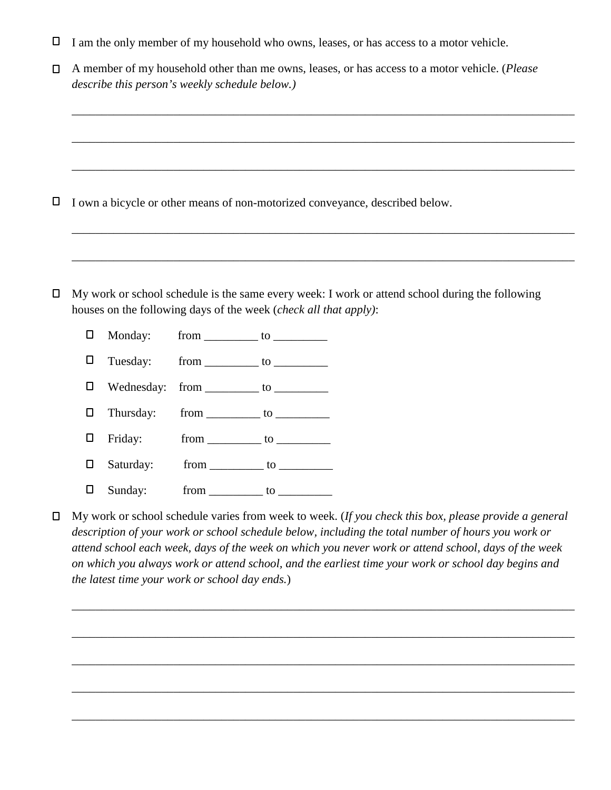$\Box$ I am the only member of my household who owns, leases, or has access to a motor vehicle.

|                                                | $\Box$ A member of my household other than me owns, leases, or has access to a motor vehicle. ( <i>Please</i> |
|------------------------------------------------|---------------------------------------------------------------------------------------------------------------|
| describe this person's weekly schedule below.) |                                                                                                               |

\_\_\_\_\_\_\_\_\_\_\_\_\_\_\_\_\_\_\_\_\_\_\_\_\_\_\_\_\_\_\_\_\_\_\_\_\_\_\_\_\_\_\_\_\_\_\_\_\_\_\_\_\_\_\_\_\_\_\_\_\_\_\_\_\_\_\_\_\_\_\_\_\_\_\_\_\_\_\_\_\_\_\_\_

\_\_\_\_\_\_\_\_\_\_\_\_\_\_\_\_\_\_\_\_\_\_\_\_\_\_\_\_\_\_\_\_\_\_\_\_\_\_\_\_\_\_\_\_\_\_\_\_\_\_\_\_\_\_\_\_\_\_\_\_\_\_\_\_\_\_\_\_\_\_\_\_\_\_\_\_\_\_\_\_\_\_\_\_

\_\_\_\_\_\_\_\_\_\_\_\_\_\_\_\_\_\_\_\_\_\_\_\_\_\_\_\_\_\_\_\_\_\_\_\_\_\_\_\_\_\_\_\_\_\_\_\_\_\_\_\_\_\_\_\_\_\_\_\_\_\_\_\_\_\_\_\_\_\_\_\_\_\_\_\_\_\_\_\_\_\_\_\_

\_\_\_\_\_\_\_\_\_\_\_\_\_\_\_\_\_\_\_\_\_\_\_\_\_\_\_\_\_\_\_\_\_\_\_\_\_\_\_\_\_\_\_\_\_\_\_\_\_\_\_\_\_\_\_\_\_\_\_\_\_\_\_\_\_\_\_\_\_\_\_\_\_\_\_\_\_\_\_\_\_\_\_\_

\_\_\_\_\_\_\_\_\_\_\_\_\_\_\_\_\_\_\_\_\_\_\_\_\_\_\_\_\_\_\_\_\_\_\_\_\_\_\_\_\_\_\_\_\_\_\_\_\_\_\_\_\_\_\_\_\_\_\_\_\_\_\_\_\_\_\_\_\_\_\_\_\_\_\_\_\_\_\_\_\_\_\_\_

- $\Box$ I own a bicycle or other means of non-motorized conveyance, described below.
- $\Box$  My work or school schedule is the same every week: I work or attend school during the following houses on the following days of the week (*check all that apply)*:
	- Monday: from to  $\Box$  $\Box$ Tuesday: from \_\_\_\_\_\_\_\_\_\_ to \_\_\_\_\_\_\_\_\_\_\_  $\Box$ Wednesday: from \_\_\_\_\_\_\_\_\_ to \_\_\_\_\_\_\_\_\_\_\_  $\Box$ Thursday: from \_\_\_\_\_\_\_\_\_ to \_\_\_\_\_\_\_\_\_\_  $\Box$ Friday: from \_\_\_\_\_\_\_\_\_ to \_\_\_\_\_\_\_\_\_ Saturday: from \_\_\_\_\_\_\_\_\_ to \_\_\_\_\_\_\_\_\_\_  $\Box$  $\Box$ Sunday: from to
- My work or school schedule varies from week to week. (*If you check this box, please provide a general*   $\Box$ *description of your work or school schedule below, including the total number of hours you work or attend school each week, days of the week on which you never work or attend school, days of the week on which you always work or attend school, and the earliest time your work or school day begins and the latest time your work or school day ends.*)

\_\_\_\_\_\_\_\_\_\_\_\_\_\_\_\_\_\_\_\_\_\_\_\_\_\_\_\_\_\_\_\_\_\_\_\_\_\_\_\_\_\_\_\_\_\_\_\_\_\_\_\_\_\_\_\_\_\_\_\_\_\_\_\_\_\_\_\_\_\_\_\_\_\_\_\_\_\_\_\_\_\_\_\_

\_\_\_\_\_\_\_\_\_\_\_\_\_\_\_\_\_\_\_\_\_\_\_\_\_\_\_\_\_\_\_\_\_\_\_\_\_\_\_\_\_\_\_\_\_\_\_\_\_\_\_\_\_\_\_\_\_\_\_\_\_\_\_\_\_\_\_\_\_\_\_\_\_\_\_\_\_\_\_\_\_\_\_\_

\_\_\_\_\_\_\_\_\_\_\_\_\_\_\_\_\_\_\_\_\_\_\_\_\_\_\_\_\_\_\_\_\_\_\_\_\_\_\_\_\_\_\_\_\_\_\_\_\_\_\_\_\_\_\_\_\_\_\_\_\_\_\_\_\_\_\_\_\_\_\_\_\_\_\_\_\_\_\_\_\_\_\_\_

\_\_\_\_\_\_\_\_\_\_\_\_\_\_\_\_\_\_\_\_\_\_\_\_\_\_\_\_\_\_\_\_\_\_\_\_\_\_\_\_\_\_\_\_\_\_\_\_\_\_\_\_\_\_\_\_\_\_\_\_\_\_\_\_\_\_\_\_\_\_\_\_\_\_\_\_\_\_\_\_\_\_\_\_

\_\_\_\_\_\_\_\_\_\_\_\_\_\_\_\_\_\_\_\_\_\_\_\_\_\_\_\_\_\_\_\_\_\_\_\_\_\_\_\_\_\_\_\_\_\_\_\_\_\_\_\_\_\_\_\_\_\_\_\_\_\_\_\_\_\_\_\_\_\_\_\_\_\_\_\_\_\_\_\_\_\_\_\_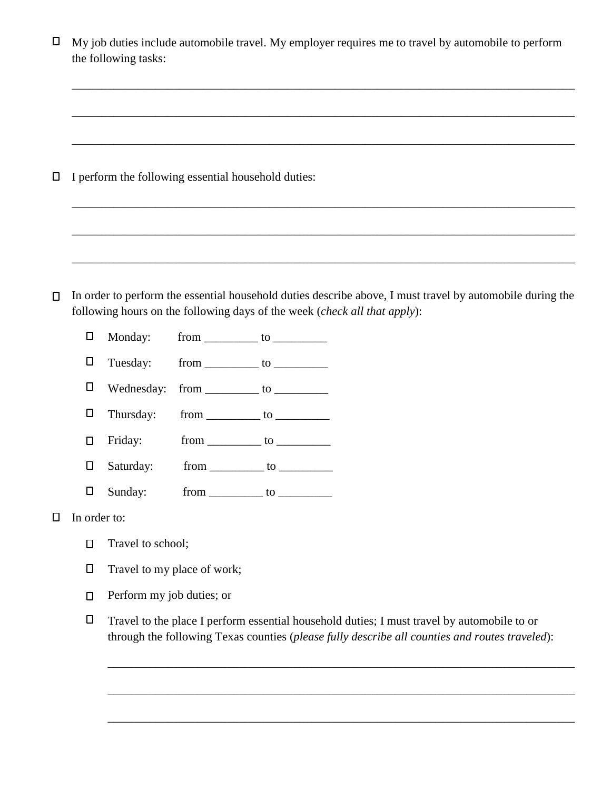| ⊔      |                                                     | My job duties include automobile travel. My employer requires me to travel by automobile to perform<br>the following tasks:                                                                   |  |  |
|--------|-----------------------------------------------------|-----------------------------------------------------------------------------------------------------------------------------------------------------------------------------------------------|--|--|
| □      | I perform the following essential household duties: |                                                                                                                                                                                               |  |  |
| $\Box$ |                                                     | In order to perform the essential household duties describe above, I must travel by automobile during the<br>following hours on the following days of the week (check all that apply):        |  |  |
|        | $\Box$                                              | Monday:                                                                                                                                                                                       |  |  |
|        | $\Box$                                              | Tuesday:                                                                                                                                                                                      |  |  |
|        | □                                                   | Wednesday:                                                                                                                                                                                    |  |  |
|        | $\Box$                                              | Thursday:                                                                                                                                                                                     |  |  |
|        | □                                                   | Friday:                                                                                                                                                                                       |  |  |
|        | □                                                   | Saturday:                                                                                                                                                                                     |  |  |
|        | □                                                   | Sunday:<br>$from$ to $\qquad$                                                                                                                                                                 |  |  |
| ⊔      | In order to:                                        |                                                                                                                                                                                               |  |  |
|        | $\Box$                                              | Travel to school;                                                                                                                                                                             |  |  |
|        | $\Box$                                              | Travel to my place of work;                                                                                                                                                                   |  |  |
|        | □                                                   | Perform my job duties; or                                                                                                                                                                     |  |  |
|        | $\Box$                                              | Travel to the place I perform essential household duties; I must travel by automobile to or<br>through the following Texas counties (please fully describe all counties and routes traveled): |  |  |
|        |                                                     |                                                                                                                                                                                               |  |  |

\_\_\_\_\_\_\_\_\_\_\_\_\_\_\_\_\_\_\_\_\_\_\_\_\_\_\_\_\_\_\_\_\_\_\_\_\_\_\_\_\_\_\_\_\_\_\_\_\_\_\_\_\_\_\_\_\_\_\_\_\_\_\_\_\_\_\_\_\_\_\_\_\_\_\_\_\_\_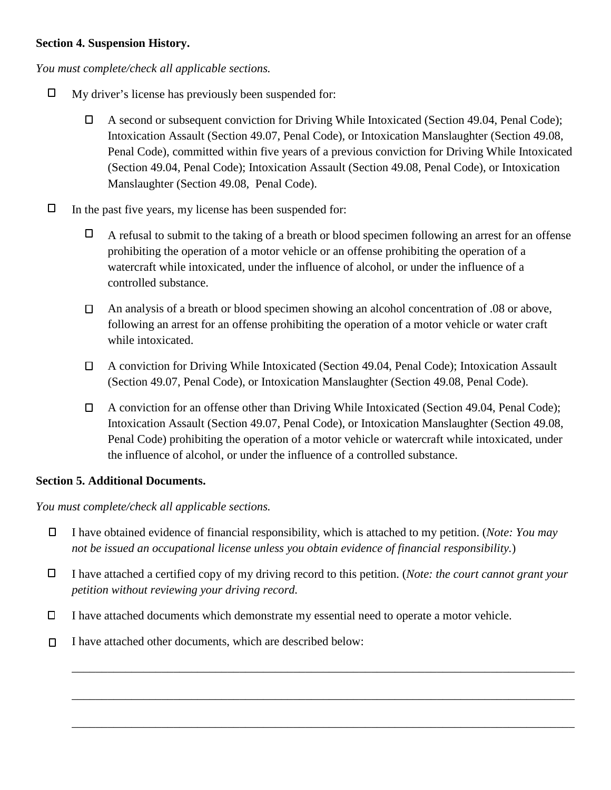### **Section 4. Suspension History.**

*You must complete/check all applicable sections.*

- $\Box$ My driver's license has previously been suspended for:
	- $\Box$ A second or subsequent conviction for Driving While Intoxicated (Section 49.04, Penal Code); Intoxication Assault (Section 49.07, Penal Code), or Intoxication Manslaughter (Section 49.08, Penal Code), committed within five years of a previous conviction for Driving While Intoxicated (Section 49.04, Penal Code); Intoxication Assault (Section 49.08, Penal Code), or Intoxication Manslaughter (Section 49.08, Penal Code).
- $\Box$ In the past five years, my license has been suspended for:
	- $\Box$ A refusal to submit to the taking of a breath or blood specimen following an arrest for an offense prohibiting the operation of a motor vehicle or an offense prohibiting the operation of a watercraft while intoxicated, under the influence of alcohol, or under the influence of a controlled substance.
	- An analysis of a breath or blood specimen showing an alcohol concentration of .08 or above,  $\Box$ following an arrest for an offense prohibiting the operation of a motor vehicle or water craft while intoxicated.
	- A conviction for Driving While Intoxicated (Section 49.04, Penal Code); Intoxication Assault  $\Box$ (Section 49.07, Penal Code), or Intoxication Manslaughter (Section 49.08, Penal Code).
	- A conviction for an offense other than Driving While Intoxicated (Section 49.04, Penal Code);  $\Box$ Intoxication Assault (Section 49.07, Penal Code), or Intoxication Manslaughter (Section 49.08, Penal Code) prohibiting the operation of a motor vehicle or watercraft while intoxicated, under the influence of alcohol, or under the influence of a controlled substance.

#### **Section 5. Additional Documents.**

*You must complete/check all applicable sections.*

- $\Box$ I have obtained evidence of financial responsibility, which is attached to my petition. (*Note: You may not be issued an occupational license unless you obtain evidence of financial responsibility.*)
- $\Box$ I have attached a certified copy of my driving record to this petition. (*Note: the court cannot grant your petition without reviewing your driving record.*

\_\_\_\_\_\_\_\_\_\_\_\_\_\_\_\_\_\_\_\_\_\_\_\_\_\_\_\_\_\_\_\_\_\_\_\_\_\_\_\_\_\_\_\_\_\_\_\_\_\_\_\_\_\_\_\_\_\_\_\_\_\_\_\_\_\_\_\_\_\_\_\_\_\_\_\_\_\_\_\_\_\_\_\_

\_\_\_\_\_\_\_\_\_\_\_\_\_\_\_\_\_\_\_\_\_\_\_\_\_\_\_\_\_\_\_\_\_\_\_\_\_\_\_\_\_\_\_\_\_\_\_\_\_\_\_\_\_\_\_\_\_\_\_\_\_\_\_\_\_\_\_\_\_\_\_\_\_\_\_\_\_\_\_\_\_\_\_\_

\_\_\_\_\_\_\_\_\_\_\_\_\_\_\_\_\_\_\_\_\_\_\_\_\_\_\_\_\_\_\_\_\_\_\_\_\_\_\_\_\_\_\_\_\_\_\_\_\_\_\_\_\_\_\_\_\_\_\_\_\_\_\_\_\_\_\_\_\_\_\_\_\_\_\_\_\_\_\_\_\_\_\_\_

- $\Box$ I have attached documents which demonstrate my essential need to operate a motor vehicle.
- I have attached other documents, which are described below:  $\Box$